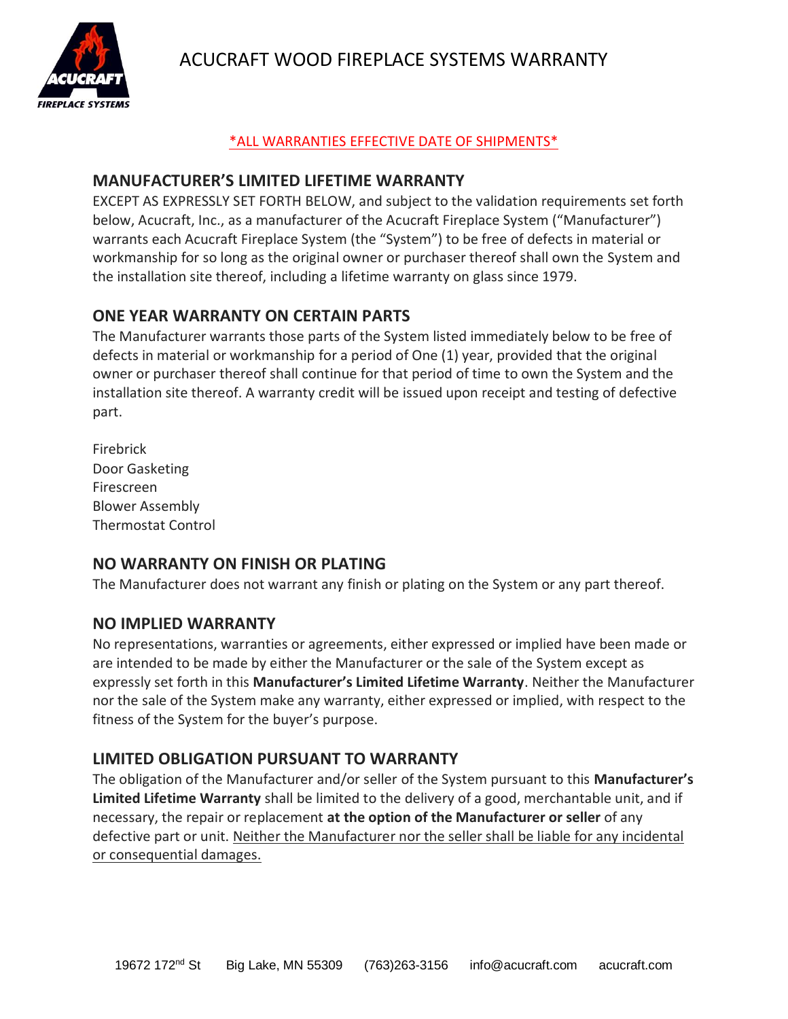ACUCRAFT WOOD FIREPLACE SYSTEMS WARRANTY



### \*ALL WARRANTIES EFFECTIVE DATE OF SHIPMENTS\*

### **MANUFACTURER'S LIMITED LIFETIME WARRANTY**

EXCEPT AS EXPRESSLY SET FORTH BELOW, and subject to the validation requirements set forth below, Acucraft, Inc., as a manufacturer of the Acucraft Fireplace System ("Manufacturer") warrants each Acucraft Fireplace System (the "System") to be free of defects in material or workmanship for so long as the original owner or purchaser thereof shall own the System and the installation site thereof, including a lifetime warranty on glass since 1979.

## **ONE YEAR WARRANTY ON CERTAIN PARTS**

The Manufacturer warrants those parts of the System listed immediately below to be free of defects in material or workmanship for a period of One (1) year, provided that the original owner or purchaser thereof shall continue for that period of time to own the System and the installation site thereof. A warranty credit will be issued upon receipt and testing of defective part.

Firebrick Door Gasketing Firescreen Blower Assembly Thermostat Control

# **NO WARRANTY ON FINISH OR PLATING**

The Manufacturer does not warrant any finish or plating on the System or any part thereof.

## **NO IMPLIED WARRANTY**

No representations, warranties or agreements, either expressed or implied have been made or are intended to be made by either the Manufacturer or the sale of the System except as expressly set forth in this **Manufacturer's Limited Lifetime Warranty**. Neither the Manufacturer nor the sale of the System make any warranty, either expressed or implied, with respect to the fitness of the System for the buyer's purpose.

# **LIMITED OBLIGATION PURSUANT TO WARRANTY**

The obligation of the Manufacturer and/or seller of the System pursuant to this **Manufacturer's Limited Lifetime Warranty** shall be limited to the delivery of a good, merchantable unit, and if necessary, the repair or replacement **at the option of the Manufacturer or seller** of any defective part or unit. Neither the Manufacturer nor the seller shall be liable for any incidental or consequential damages.